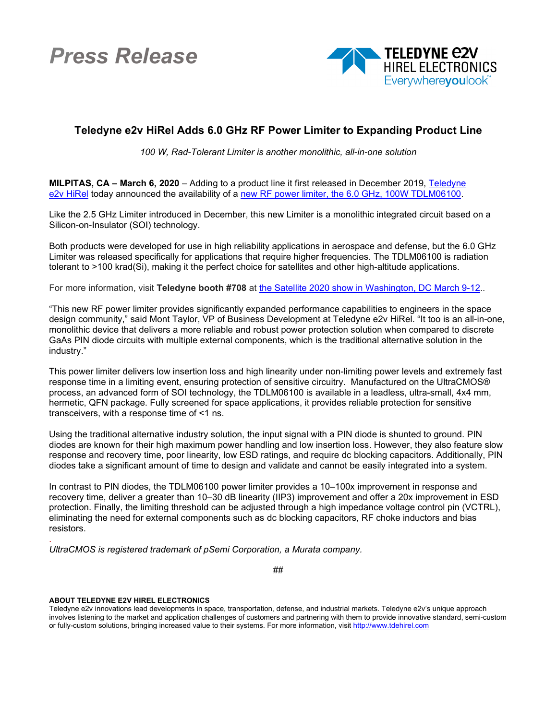*Press Release*



## **Teledyne e2v HiRel Adds 6.0 GHz RF Power Limiter to Expanding Product Line**

*100 W, Rad-Tolerant Limiter is another monolithic, all-in-one solution*

**MILPITAS, CA – March 6, 2020** – Adding to a product line it first released in December 2019, [Teledyne](https://www.teledynedefenseelectronics.com/e2vhrel/Pages/About%20Us.aspx)  e2v [HiRel](https://www.teledynedefenseelectronics.com/e2vhrel/Pages/About%20Us.aspx) today announced the availability of a [new RF power limiter, the 6.0](https://www.teledynedefenseelectronics.com/e2vhrel/products/Documents/TDLM06100_Adv_Info_4c.pdf) GHz, 100W TDLM06100.

Like the 2.5 GHz Limiter introduced in December, this new Limiter is a monolithic integrated circuit based on a Silicon-on-Insulator (SOI) technology.

Both products were developed for use in high reliability applications in aerospace and defense, but the 6.0 GHz Limiter was released specifically for applications that require higher frequencies. The TDLM06100 is radiation tolerant to >100 krad(Si), making it the perfect choice for satellites and other high-altitude applications.

For more information, visit **Teledyne booth #708** at [the Satellite 2020 show in Washington, DC March 9-12.](https://www.satshow.com/).

"This new RF power limiter provides significantly expanded performance capabilities to engineers in the space design community," said Mont Taylor, VP of Business Development at Teledyne e2v HiRel. "It too is an all-in-one, monolithic device that delivers a more reliable and robust power protection solution when compared to discrete GaAs PIN diode circuits with multiple external components, which is the traditional alternative solution in the industry."

This power limiter delivers low insertion loss and high linearity under non-limiting power levels and extremely fast response time in a limiting event, ensuring protection of sensitive circuitry. Manufactured on the UltraCMOS® process, an advanced form of SOI technology, the TDLM06100 is available in a leadless, ultra-small, 4x4 mm, hermetic, QFN package. Fully screened for space applications, it provides reliable protection for sensitive transceivers, with a response time of <1 ns.

Using the traditional alternative industry solution, the input signal with a PIN diode is shunted to ground. PIN diodes are known for their high maximum power handling and low insertion loss. However, they also feature slow response and recovery time, poor linearity, low ESD ratings, and require dc blocking capacitors. Additionally, PIN diodes take a significant amount of time to design and validate and cannot be easily integrated into a system.

In contrast to PIN diodes, the TDLM06100 power limiter provides a 10–100x improvement in response and recovery time, deliver a greater than 10–30 dB linearity (IIP3) improvement and offer a 20x improvement in ESD protection. Finally, the limiting threshold can be adjusted through a high impedance voltage control pin (VCTRL), eliminating the need for external components such as dc blocking capacitors, RF choke inductors and bias resistors.

. *UltraCMOS is registered trademark of pSemi Corporation, a Murata company.*

##

## **ABOUT TELEDYNE E2V HIREL ELECTRONICS**

Teledyne e2v innovations lead developments in space, transportation, defense, and industrial markets. Teledyne e2v's unique approach involves listening to the market and application challenges of customers and partnering with them to provide innovative standard, semi-custom or fully-custom solutions, bringing increased value to their systems. For more information, visi[t http://www.tdehirel.com](http://www.tdehirel.com/)